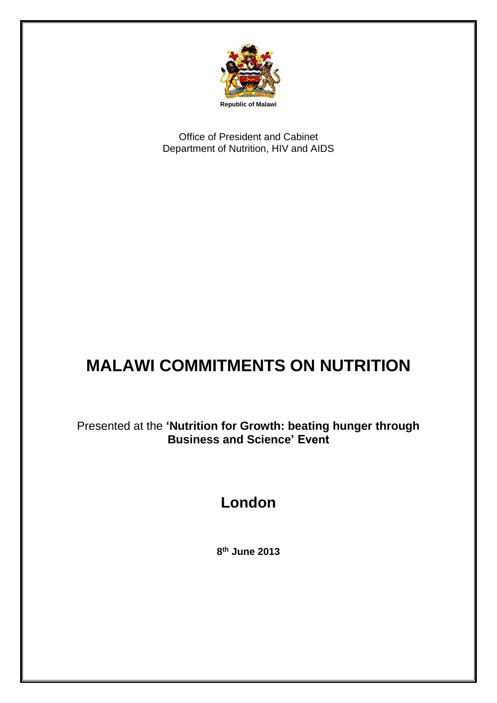

Office of President and Cabinet Department of Nutrition, HIV and AIDS

## **MALAWI COMMITMENTS ON NUTRITION**

Presented at the **'Nutrition for Growth: beating hunger through Business and Science' Event**

## **London**

**8 th June 2013**